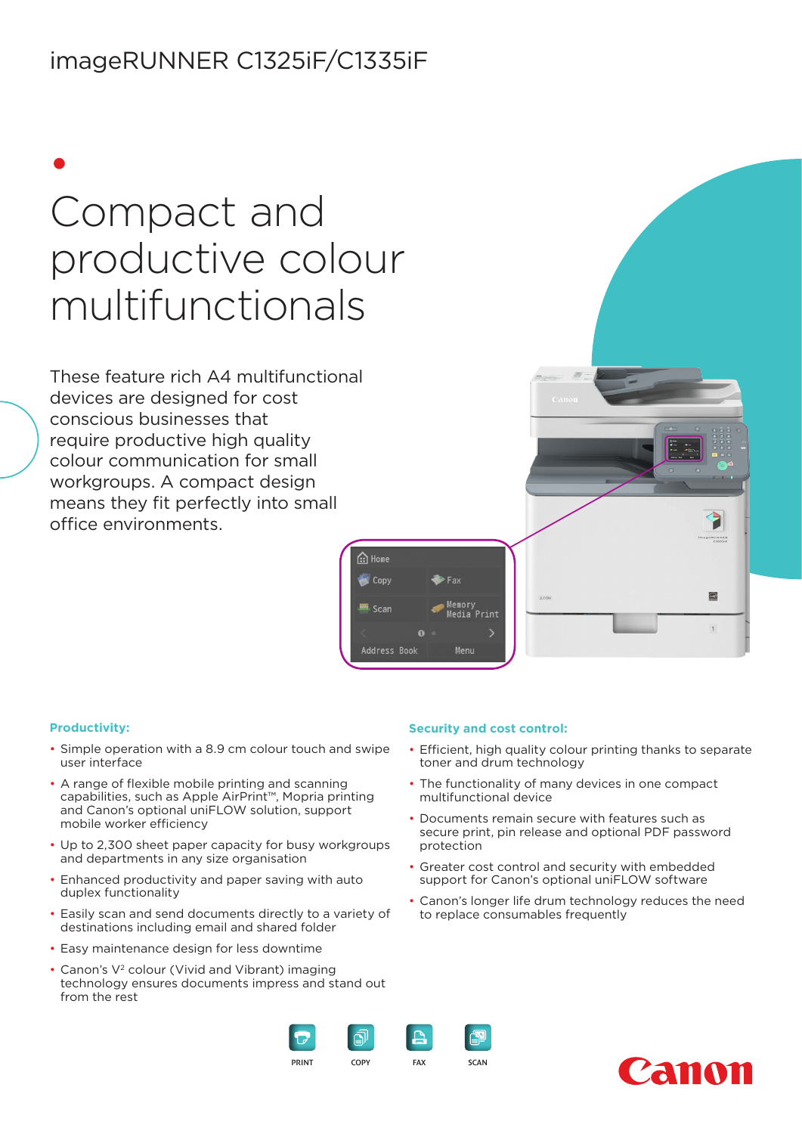## imageRUNNER C1325iF/C1335iF

• Compact and productive colour multifunctionals

These feature rich A4 multifunctional devices are designed for cost conscious businesses that require productive high quality colour communication for small workgroups. A compact design means they fit perfectly into small office environments.



#### **Productivity:**

- Simple operation with a 8.9 cm colour touch and swipe user interface
- A range of flexible mobile printing and scanning capabilities, such as Apple AirPrint™, Mopria printing and Canon's optional uniFLOW solution, support mobile worker efficiency
- Up to 2,300 sheet paper capacity for busy workgroups and departments in any size organisation
- Enhanced productivity and paper saving with auto duplex functionality
- Easily scan and send documents directly to a variety of destinations including email and shared folder
- Easy maintenance design for less downtime
- Canon's V<sup>2</sup> colour (Vivid and Vibrant) imaging technology ensures documents impress and stand out from the rest

#### **Security and cost control:**

- Efficient, high quality colour printing thanks to separate toner and drum technology
- The functionality of many devices in one compact multifunctional device
- Documents remain secure with features such as secure print, pin release and optional PDF password protection
- Greater cost control and security with embedded support for Canon's optional uniFLOW software
- Canon's longer life drum technology reduces the need to replace consumables frequently





 $\blacksquare$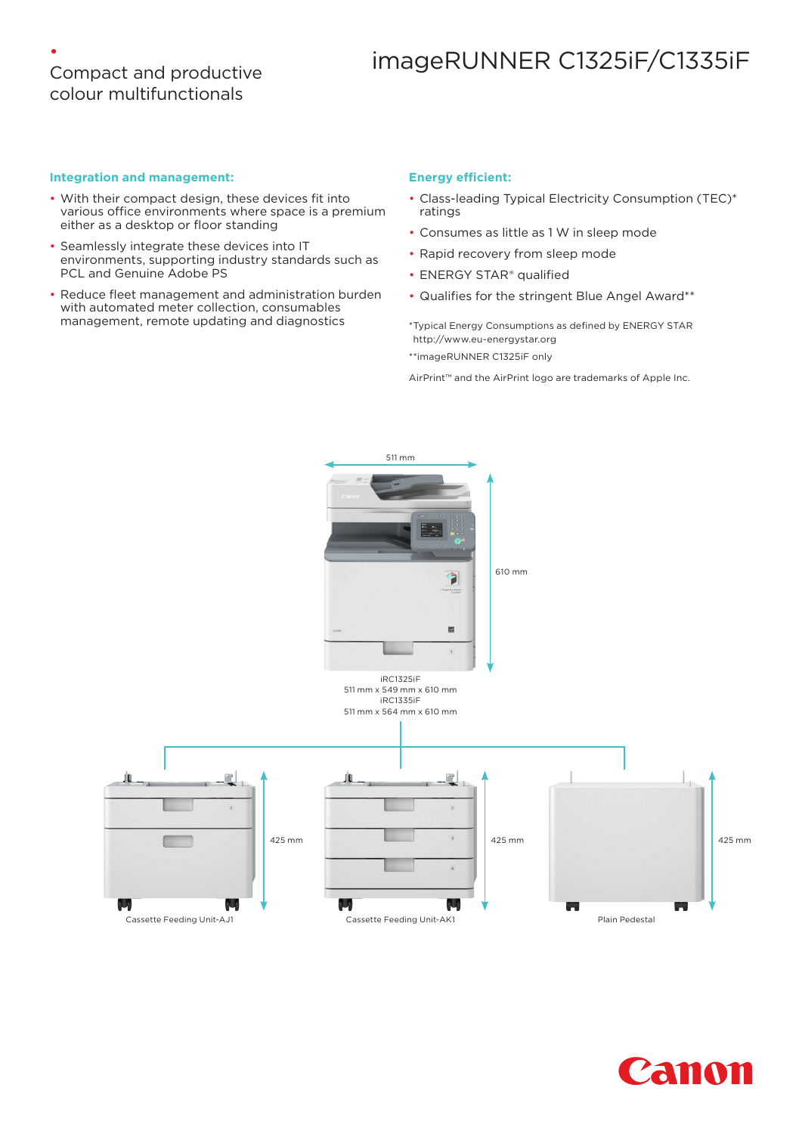### • Compact and productive colour multifunctionals

# imageRUNNER C1325iF/C1335iF

#### **Integration and management:**

- With their compact design, these devices fit into various office environments where space is a premium either as a desktop or floor standing
- Seamlessly integrate these devices into IT environments, supporting industry standards such as PCL and Genuine Adobe PS
- Reduce fleet management and administration burden with automated meter collection, consumables management, remote updating and diagnostics

#### **Energy efficient:**

- Class-leading Typical Electricity Consumption (TEC)\* ratings
- Consumes as little as 1 W in sleep mode
- Rapid recovery from sleep mode
- ENERGY STAR® qualified
- Qualifies for the stringent Blue Angel Award\*\*

\*Typical Energy Consumptions as defined by ENERGY STAR http://www.eu-energystar.org

\*\*imageRUNNER C1325iF only

AirPrint™ and the AirPrint logo are trademarks of Apple Inc.



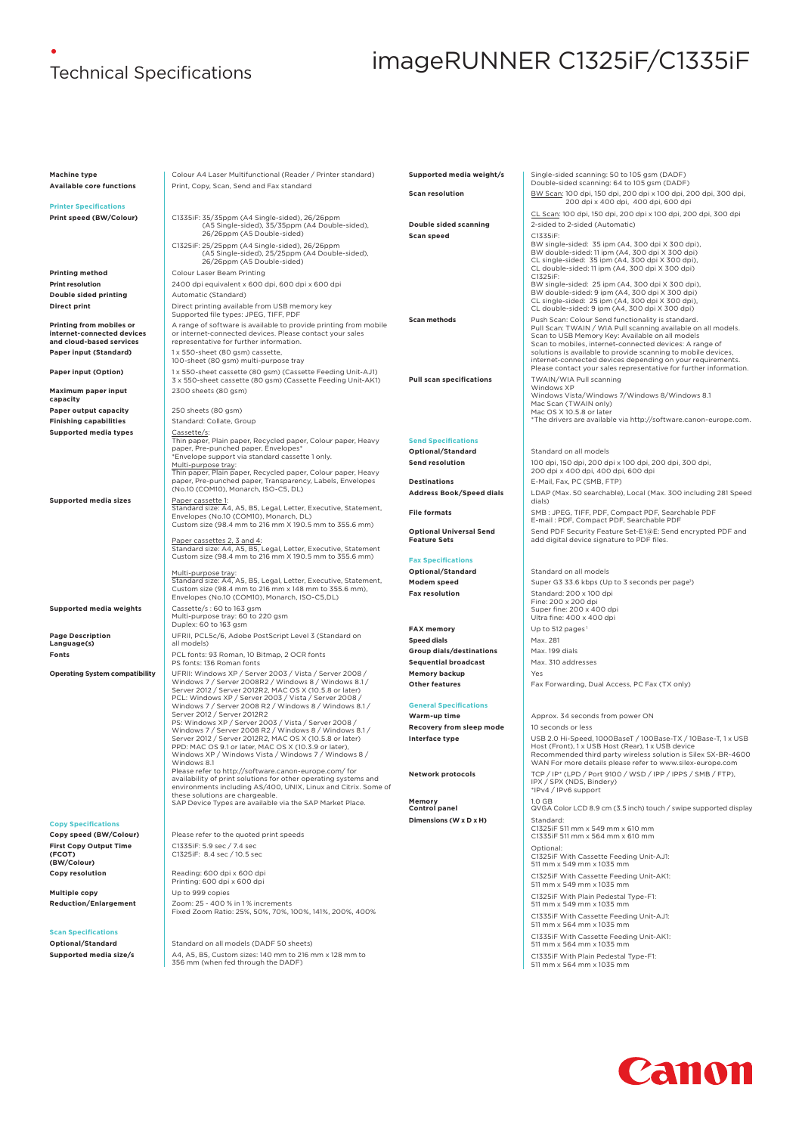# •

# Technical Specifications imageRUNNER C1325iF/C1335iF

**Machine type** Colour A4 Laser Multifunctional (Reader / Printer standard)<br>**Available core functions** Print. Copy. Scan. Send and Fax standard **Available core functions** Print, Copy, Scan, Send and Fax standard **Printer Specifications Print speed (BW/Colour)** C1335iF: 35/35ppm (A4 Single-sided), 26/26ppm (A5 Single-sided), 35/35ppm (A4 Double-sided), 26/26ppm (A5 Double-sided) C1325iF: 25/25ppm (A4 Single-sided), 26/26ppm (A5 Single-sided), 25/25ppm (A4 Double-sided), 26/26ppm (A5 Double-sided) **Printing method Colour Laser Beam Printing Print resolution Print resolution Print resolution 2400 dpi equivalent x 600 dpi, 600 dpi x 600 dpi Double sided printing** Automatic (Standard) **Direct print** Direct printing available from USB memory key<br>Supported file types: JPEG, TIFF, PDF **Printing from mobiles or internet-connected devices and cloud-based services** A range of software is available to provide printing from mobile or internet-connected devices. Please contact your sales representative for further information. **Paper input (Standard)** 1 x 550-sheet (80 gsm) cassette, 100-sheet (80 gsm) multi-purpose tray **Paper input (Option)** 1 x 550-sheet cassette (80 gsm) (Cassette Feeding Unit-AJ1) 3 x 550-sheet cassette (80 gsm) (Cassette Feeding Unit-AK1) **Maximum paper input capacity** 2300 sheets (80 gsm) **Paper output capacity** 250 sheets (80 gsm) **Finishing capabilities and Standard: Collate, Group Supported media types** Thin paper, Plain paper, Recycled paper, Colour paper, Heavy paper, Pre-punched paper, Envelopes\* \*Envelope support via standard cassette 1 only. M<u>ulti-purpose tray</u>:<br>Thin paper, Plain paper, Recycled paper, Colour paper, Heavy<br>paper, Pre-punched paper, Transparency, Labels, Envelopes (No.10 (COM10), Monarch, ISO-C5, DL) **Supported media sizes** Paper cassette 1:<br>Standard size: A4, A5, B5, Legal, Letter, Executive, Statement, Envelopes (No.10 (COM10), Monarch, DL) Custom size (98.4 mm to 216 mm X 190.5 mm to 355.6 mm) Paper cassettes 2, 3 and 4: Standard size: A4, A5, B5, Legal, Letter, Executive, Statement Custom size (98.4 mm to 216 mm X 190.5 mm to 355.6 mm) <u>Multi-purpose tray:</u><br>Standard size: A4, A5, B5, Legal, Letter, Executive, Statement,<br>Custom size (98.4 mm to 216 mm x 148 mm to 355.6 mm),<br>Envelopes (No.10 (COM10), Monarch, ISO-C5,DL) **Supported media weights** Cassette/s : 60 to 163 gsm Multi-purpose tray: 60 to 220 gsm Duplex: 60 to 163 gsm **Page Description Language(s)** UFRII, PCL5c/6, Adobe PostScript Level 3 (Standard on all models) **Fonts** PCL fonts: 93 Roman, 10 Bitmap, 2 OCR fonts PS fonts: 136 Roman fonts<br>UFRII: Windows XP / Server 2003 / Vista / Server 2008 / Operating System compatibility<br>
Windows XP / Server 2003 / Vista / Server 2008 /<br>
Windows X / Server 2008 / 2<br>
Server 2012 / Server 2008 / MC OS X (10.5.8 or later)<br>
PCL: Windows XP / Server 2003 / Vista / Server 2008 /<br>
W PPD: MAC OS 9.1 or later, MAC OS X (10.3.9 or later),<br>Windows XP / Windows Vista / Windows 7 / Windows 8 /<br>Windows 8.1<br>Please refer to http://software.canon-europe.com/ for<br>availability of print solutions for other operati these solutions are chargeable. SAP Device Types are available via the SAP Market Place. **Copy Specifications** Please refer to the quoted print speeds **First Copy Output Time (FCOT) (BW/Colour)** C1335iF: 5.9 sec / 7.4 sec C1325iF: 8.4 sec / 10.5 sec **Copy resolution** Reading: 600 dpi x 600 dpi Printing: 600 dpi x 600 dpi **Multiple copy** Up to 999 copies<br> **Reduction/Enlargement** Zoom: 25 - 400 % **Reduction/Enlargement** Zoom: 25 - 400 % in 1 % increments Fixed Zoom Ratio: 25%, 50%, 70%, 100%, 141%, 200%, 400% **Scan Specifications Optional/Standard Standard Standard on all models (DADF 50 sheets) Supported media size/s**  $AA$ ,  $\overline{AB}$ ,  $\overline{B}$ , Custom sizes: 140 mm to 216 mm x 128 mm to 356 mm (when fed through the DADF) **Supported media weight/s** | Single-sided scanning: 50 to 105 gsm (DADF) Double-sided scanning: 64 to 105 gsm (DADF) **Scan resolution** BW Scan: 100 dpi, 150 dpi, 200 dpi x 100 dpi, 200 dpi, 300 dpi, 300 dpi, 200 dpi x 400 dpi, 400 dpi, 600 dpi CL Scan: 100 dpi, 150 dpi, 200 dpi x 100 dpi, 200 dpi, 300 dpi **Double sided scanning** 2-sided to 2-sided (Automatic) **Scan speed** C1335iF: BW single-sided: 35 ipm (A4, 300 dpi X 300 dpi), BW double-sided: 11 ipm (A4, 300 dpi X 300 dpi) CL single-sided: 35 ipm (A4, 300 dpi X 300 dpi), CL double-sided: 11 ipm (A4, 300 dpi X 300 dpi) C1325iF: BW single-sided: 25 ipm (A4, 300 dpi X 300 dpi), BW double-sided: 9 ipm (A4, 300 dpi X 300 dpi) CL single-sided: 25 ipm (A4, 300 dpi X 300 dpi), CL double-sided: 9 ipm (A4, 300 dpi X 300 dpi) **Scan methods**<br>
Push Scan: Colour Send functionality is standard.<br>
Pull Scan: TWAIN / WIA Pull stanning available on all models.<br>
Scan to USB Memory Key: Available on all models<br>
Scan to mobiles, internet-connected devices Please contact your sales representative for further information. **Pull scan specifications** Windows XP Windows Vista/Windows 7/Windows 8/Windows 8.1<br>Mac Scan (TWAIN only)<br>Mac OS X 10.5.8 or later<br>\*The drivers are available via http://software.canon-europe.com. **Send Specifications Optional/Standard** Standard on all models **Send resolution** 100 dpi, 150 dpi, 200 dpi x 100 dpi, 200 dpi, 300 dpi, 300 dpi, 200 dpi x 400 dpi, 400 dpi, 600 dpi **Destinations** E-Mail, Fax, PC (SMB, FTP) **Address Book/Speed dials** LDAP (Max. 50 searchable), Local (Max. 300 including 281 Speed dials) **File formats** SMB : JPEG, TIFF, PDF, Compact PDF, Searchable PDF E-mail : PDF, Compact PDF, Searchable PDF **Optional Universal Send Feature Sets**  Send PDF Security Feature Set-E1@E: Send encrypted PDF and add digital device signature to PDF files. **Fax Specifications Optional/Standard** Standard on all models **Modem speed** Super G3 33.6 kbps (Up to 3 seconds per page<sup>1</sup>) **Fax resolution**<br>
Fine: 200 x 200 dpi<br>
Super fine: 200 x 400 dpi<br>
Super fine: 400 x 400 dpi<br>
Ultra fine: 400 x 400 dpi **FAX memory** Up to 512 pages I<br> **Speed dials Speed dials Group dials/destinations** Max. 199 dials **Sequential broadcast** Max. 310 addresses **Memory backup** Yes **Other features** Fax Forwarding, Dual Access, PC Fax (TX only) **General Specifications Warm-up time Approx.** 34 seconds from power ON **Recovery from sleep mode** 10 seconds or less **Interface type Interface type Interface type I** USB 2.0 Hi-Speed, 1000BaseT / 100Base-TX / 10Base-T, 1 x USB Host (Front), 1 x USB Host (Rear), 1 x USB device<br>Recommended third party wireless solution is Silex SX-BR-4600<br>WAN For more details please refer to www.silex-europe.com **Network protocols**<br>
IPX / SPX (NDS, Bindery)<br>
IPV4 / IPv6 support<br>
TIPV4 / IPv6 support<br>
TIPV4 / IPv6 support **Memory**<br>Control panel 1.0 GB<br>QVGA Color LCD 8.9 cm (3.5 inch) touch / swipe supported display **Dimensions (W x D x H)** Standard: C1325iF 511 mm x 549 mm x 610 mm C1335iF 511 mm x 564 mm x 610 mm Optional: C1325iF With Cassette Feeding Unit-AJ1: 511 mm x 549 mm x 1035 mm C1325iF With Cassette Feeding Unit-AK1: 511 mm x 549 mm x 1035 mm C1325iF With Plain Pedestal Type-F1: 511 mm x 549 mm x 1035 mm C1335iF With Cassette Feeding Unit-AJ1: 511 mm x 564 mm x 1035 mm C1335iF With Cassette Feeding Unit-AK1: 511 mm x 564 mm x 1035 mm C1335iF With Plain Pedestal Type-F1: 511 mm x 564 mm x 1035 mm